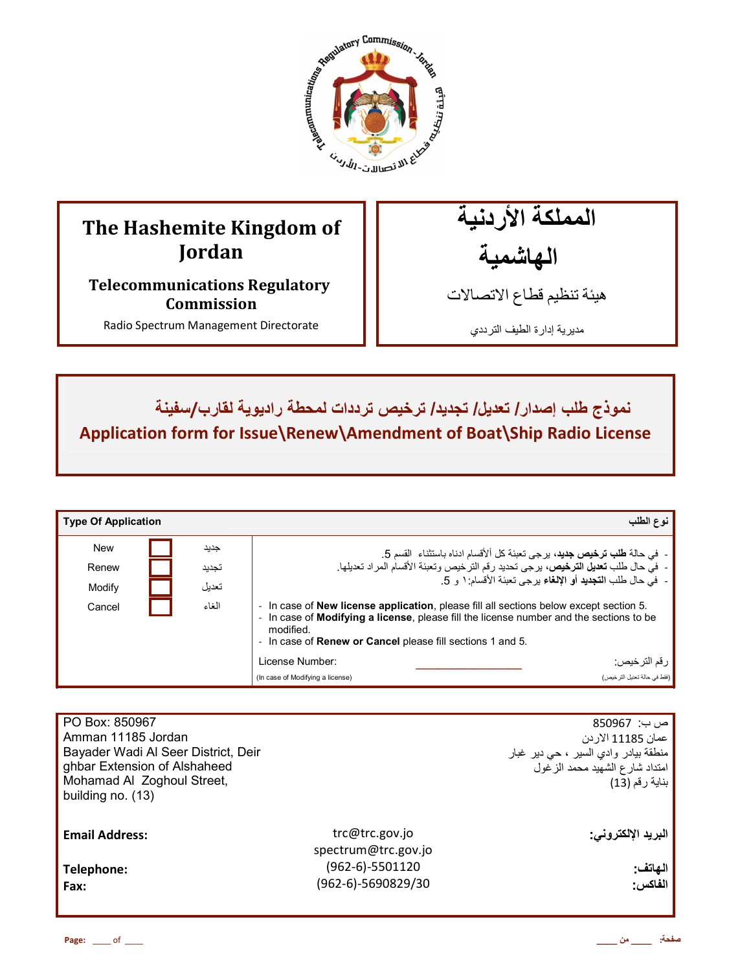

# **The Hashemite Kingdom of Jordan**

**Telecommunications Regulatory Commission** 

Radio Spectrum Management Directorate

المملكة الأردنية الـهاشمية

هيئة تنظيم قطاع الاتصـالات

مديرية إدارة الطيف الترددي

ـ نموذج طلب إصدار / تعديل/ تجديد/ ترخيص ترددات لمحطة راديوية لقارب/سفينة **Application form for Issue\Renew\Amendment of Boat\Ship Radio License**

| <b>Type Of Application</b> |       |                                                                                                                                                                                                                                                                             | نوع الطلب                                                              |
|----------------------------|-------|-----------------------------------------------------------------------------------------------------------------------------------------------------------------------------------------------------------------------------------------------------------------------------|------------------------------------------------------------------------|
| <b>New</b>                 | جديد  | -  في حالة <b>طلب ترخيص جديد</b> ، برجي تعبئة كل ألأقسام ادناه باستثناء  القسم 5.                                                                                                                                                                                           |                                                                        |
| Renew                      | تجديد | - في حال طلب تعديل الترخيص، برجي تحديد رقم الترخيص وتعبئة الأقسام المراد تعديلها.                                                                                                                                                                                           |                                                                        |
| Modify                     | تحديل |                                                                                                                                                                                                                                                                             | -   في حال طلب ا <b>لتجديد</b> أو الإلغاء بر جي تعبئة الأقسام: ١ و  5. |
| Cancel                     | الغاء | - In case of <b>New license application</b> , please fill all sections below except section 5.<br>- In case of Modifying a license, please fill the license number and the sections to be<br>modified.<br>- In case of <b>Renew or Cancel</b> please fill sections 1 and 5. |                                                                        |
|                            |       | License Number:                                                                                                                                                                                                                                                             | ر قم التر خيص:                                                         |
|                            |       | (In case of Modifying a license)                                                                                                                                                                                                                                            | (فقط في حالة تعديل التر خيص)                                           |

| PO Box: 850967<br>Amman 11185 Jordan<br>Bayader Wadi Al Seer District, Deir<br>ghbar Extension of Alshaheed<br>Mohamad Al Zoghoul Street,<br>building no. (13) |                                       | ص ب:  850967<br>عمان 11185 الار دن<br>منطقة بيادر وادي السير ، حي دير غبار<br>امتداد شارع الشهيد محمد الزغول<br>بناية رقم (13) |
|----------------------------------------------------------------------------------------------------------------------------------------------------------------|---------------------------------------|--------------------------------------------------------------------------------------------------------------------------------|
| <b>Email Address:</b>                                                                                                                                          | trc@trc.gov.jo<br>spectrum@trc.gov.jo | البريد الإلكترون <i>ى</i> :                                                                                                    |
| Telephone:                                                                                                                                                     | $(962-6)-5501120$                     | الهاتف:                                                                                                                        |
| Fax:                                                                                                                                                           | (962-6)-5690829/30                    | الفاكس:                                                                                                                        |
|                                                                                                                                                                |                                       |                                                                                                                                |

**Page:** \_\_\_\_ of \_\_\_\_ **\_\_\_\_ ن \_\_\_\_ :**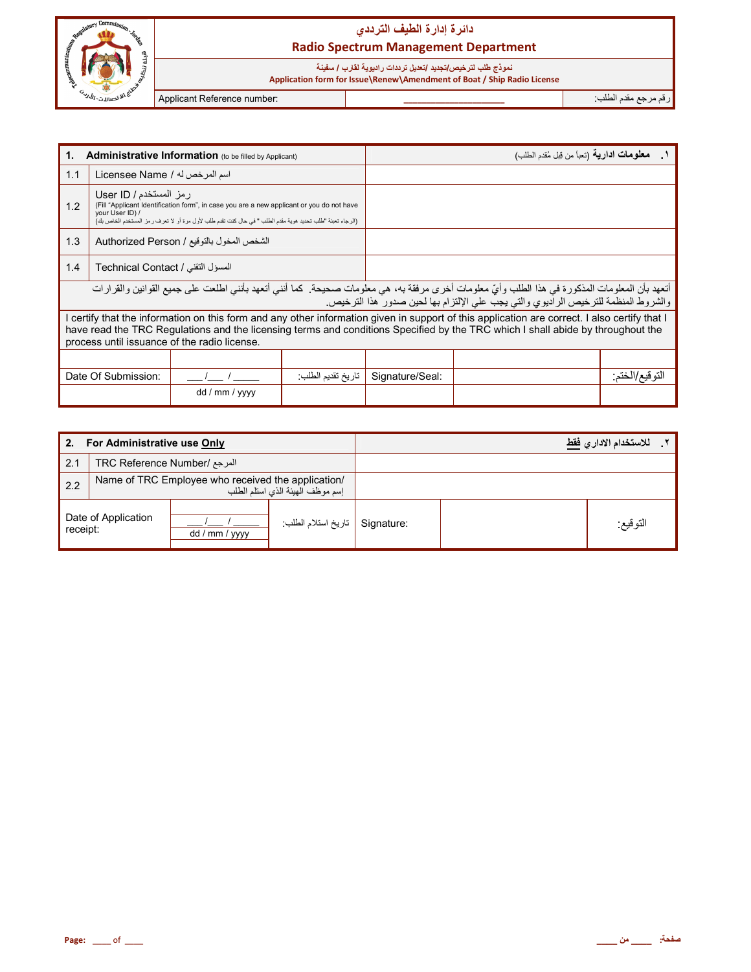

### نموذج طلب لت*ر*خي*ص |ت*جديد /تعديل تر ددات ر اديوية لقارب / سفينة

 **Application form for Issue\Renew\Amendment of Boat / Ship Radio License**

ر\$م رg' دم اط+ب: **\_\_\_\_\_\_\_\_\_\_\_\_\_\_\_\_\_\_\_\_\_\_** :number Reference Applicant

| Administrative Information (to be filled by Applicant)<br>1.                                                                                                                                                                                                                                                                     |                                                                                                                                                                                                                                                      |                |                   | <b>معلومات ادارية</b> (تعبأ من قِبل مُقدم الطلب)                                   |  |                 |
|----------------------------------------------------------------------------------------------------------------------------------------------------------------------------------------------------------------------------------------------------------------------------------------------------------------------------------|------------------------------------------------------------------------------------------------------------------------------------------------------------------------------------------------------------------------------------------------------|----------------|-------------------|------------------------------------------------------------------------------------|--|-----------------|
| 1.1                                                                                                                                                                                                                                                                                                                              | اسم المرخص له / Licensee Name                                                                                                                                                                                                                        |                |                   |                                                                                    |  |                 |
| 1.2                                                                                                                                                                                                                                                                                                                              | رمز المستخدم / User ID<br>(Fill "Applicant Identification form", in case you are a new applicant or you do not have<br>your User ID) /<br>(الرجاء تعبئة "طلب تحديد هوية مقدم الطلب " في حال كنت تقدم طلب لأول مرة أو لا تعرف ر مز المستخدم الخاص بك) |                |                   |                                                                                    |  |                 |
| 1.3<br>الشخص المخول بالتوقيع / Authorized Person                                                                                                                                                                                                                                                                                 |                                                                                                                                                                                                                                                      |                |                   |                                                                                    |  |                 |
| 1.4<br>المسؤل التقني / Technical Contact                                                                                                                                                                                                                                                                                         |                                                                                                                                                                                                                                                      |                |                   |                                                                                    |  |                 |
| أتعهد بأن المعلومات المذكورة في هذا الطلب وأيّ معلومات أخرى مرفقة به، هي معلومات صحيحة. كما أنني أتعهد بأنني اطلعت على جميع القوانين والقرارات                                                                                                                                                                                   |                                                                                                                                                                                                                                                      |                |                   | والشروط المنظمة للترخيص الراديوي والتي يجب على الإلتزام بها لحين صدور هذا الترخيص. |  |                 |
| I certify that the information on this form and any other information given in support of this application are correct. I also certify that I<br>have read the TRC Regulations and the licensing terms and conditions Specified by the TRC which I shall abide by throughout the<br>process until issuance of the radio license. |                                                                                                                                                                                                                                                      |                |                   |                                                                                    |  |                 |
|                                                                                                                                                                                                                                                                                                                                  |                                                                                                                                                                                                                                                      |                |                   |                                                                                    |  |                 |
|                                                                                                                                                                                                                                                                                                                                  | Date Of Submission:                                                                                                                                                                                                                                  |                | تاريخ تقديم الطلب | Signature/Seal:                                                                    |  | التو قيع/الختم: |
|                                                                                                                                                                                                                                                                                                                                  |                                                                                                                                                                                                                                                      | dd / mm / yyyy |                   |                                                                                    |  |                 |

| For Administrative use Only<br>2. |                                                                                        |                |                    | للاستخدام الادار  فقط |          |
|-----------------------------------|----------------------------------------------------------------------------------------|----------------|--------------------|-----------------------|----------|
| 2.1                               | المرجع /TRC Reference Number                                                           |                |                    |                       |          |
| 2.2                               | Name of TRC Employee who received the application/<br>إسم موظف الهيئة الذي استلم الطلب |                |                    |                       |          |
| Date of Application<br>receipt:   |                                                                                        | dd / mm / yyyy | تاريخ استلام الطلب | Signature:            | النوقيع: |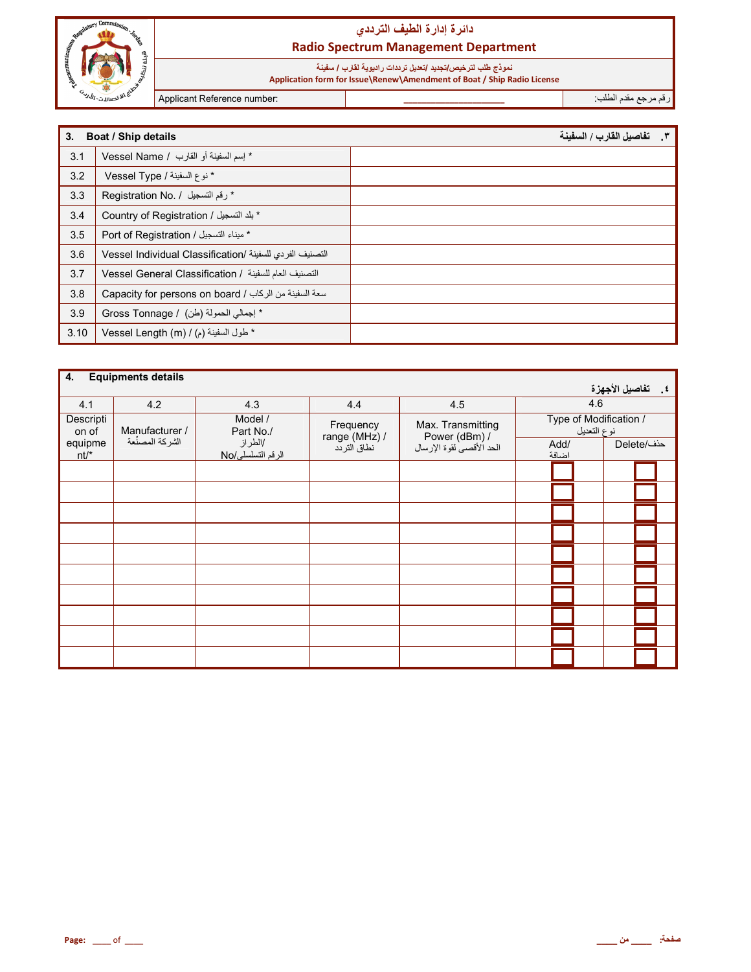

# نموذج طلب لترخيص/تجديد /تعديل ترددات راديوية لقارب / سفينة<br>Application form for Issue\Renew\Amendment of Boat / Ship Radio License

Applicant Reference number:

رقم مرجع مقدم الطلب:

| 3.   | <b>Boat / Ship details</b>                               | ٣__ تفاصيل القارب / السفينة |
|------|----------------------------------------------------------|-----------------------------|
| 3.1  | * إسم السفينة أو القارب / Vessel Name                    |                             |
| 3.2  | * نوع السفينة / Vessel Type                              |                             |
| 3.3  | * رقم التسجيل / .Registration No                         |                             |
| 3.4  | * بلد التسجيل / Country of Registration                  |                             |
| 3.5  | * ميناء التسجيل / Port of Registration                   |                             |
| 3.6  | التصنيف الفردي للسفينة /Vessel Individual Classification |                             |
| 3.7  | التصنيف العام للسفينة / Vessel General Classification    |                             |
| 3.8  | Capacity for persons on board / اسعة السفينة من الركاب   |                             |
| 3.9  | * إجمالي الحمولة (طن) / Gross Tonnage                    |                             |
| 3.10 | * طول السفينة (م) / Vessel Length (m)                    |                             |

| 4.<br><b>Equipments details</b> |                 |                               |                            |                                    |                                       |                    |
|---------------------------------|-----------------|-------------------------------|----------------------------|------------------------------------|---------------------------------------|--------------------|
|                                 |                 |                               |                            |                                    |                                       | ٤ _ تفاصيل الأجهزة |
| 4.1                             | 4.2             | 4.3                           | 4.4                        | 4.5                                | 4.6                                   |                    |
| Descripti<br>on of              | Manufacturer /  | Model /<br>Part No./          | Frequency<br>range (MHz) / | Max. Transmitting<br>Power (dBm) / | Type of Modification /<br>نوع التعديل |                    |
| equipme<br>$nt/*$               | الشركة المصنْعة | /الطر از<br>الرقم التسلسلي/No | نطاق التردد                | الحد الأقصى لقوة الإرسال           | Add/<br>اضافة                         | حذف/Delete         |
|                                 |                 |                               |                            |                                    |                                       |                    |
|                                 |                 |                               |                            |                                    |                                       |                    |
|                                 |                 |                               |                            |                                    |                                       |                    |
|                                 |                 |                               |                            |                                    |                                       |                    |
|                                 |                 |                               |                            |                                    |                                       |                    |
|                                 |                 |                               |                            |                                    |                                       |                    |
|                                 |                 |                               |                            |                                    |                                       |                    |
|                                 |                 |                               |                            |                                    |                                       |                    |
|                                 |                 |                               |                            |                                    |                                       |                    |
|                                 |                 |                               |                            |                                    |                                       |                    |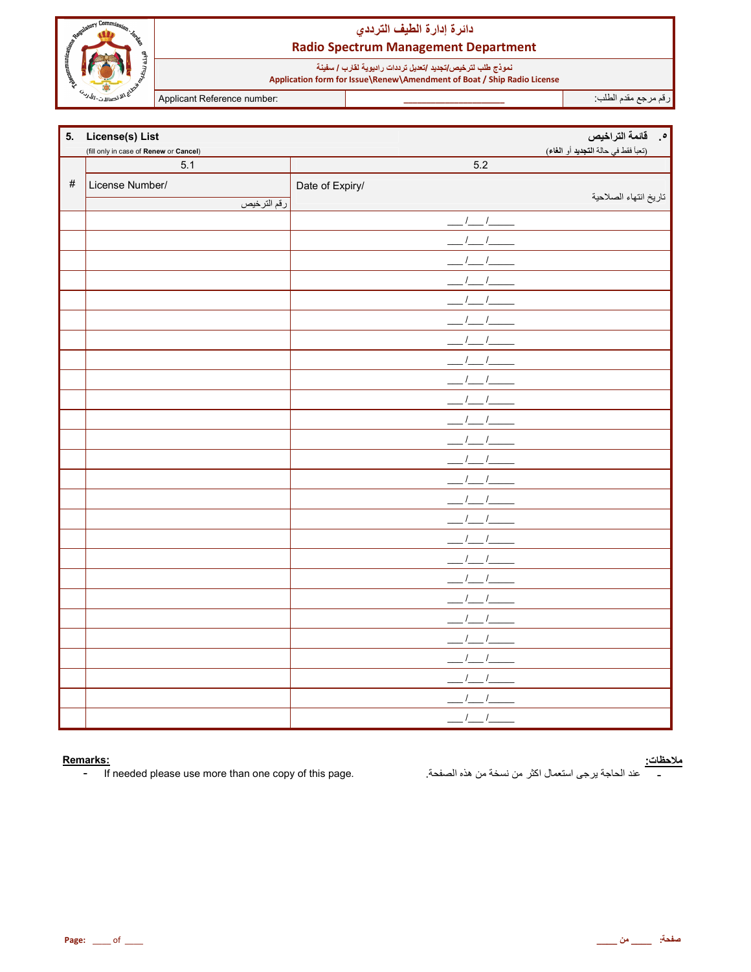

نموذج طلب لترخيص/تجديد /تعديل ترددات راديوية لقارب / سفينة<br>Application form for Issue\Renew\Amendment of Boat / Ship Radio License

Applicant Reference number:

رقم مرجع مقدم الطلب<sup>.</sup>

| 5.   | License(s) List                        |                              | ه فائمة التراخيص                    |
|------|----------------------------------------|------------------------------|-------------------------------------|
|      | (fill only in case of Renew or Cancel) |                              | (تعبأ فقط في حالة التجديد أو الغاء) |
|      | 5.1                                    | 5.2                          |                                     |
| $\#$ | License Number/                        | Date of Expiry/              |                                     |
|      | رقم الترخيص                            |                              | تاريخ انتهاء الصلاحية               |
|      |                                        | $1 \quad 1$                  |                                     |
|      |                                        |                              |                                     |
|      |                                        |                              |                                     |
|      |                                        |                              |                                     |
|      |                                        |                              |                                     |
|      |                                        |                              |                                     |
|      |                                        |                              |                                     |
|      |                                        |                              |                                     |
|      |                                        |                              |                                     |
|      |                                        |                              |                                     |
|      |                                        |                              |                                     |
|      |                                        |                              |                                     |
|      |                                        |                              |                                     |
|      |                                        |                              |                                     |
|      |                                        |                              |                                     |
|      |                                        |                              |                                     |
|      |                                        |                              |                                     |
|      |                                        |                              |                                     |
|      |                                        |                              |                                     |
|      |                                        |                              |                                     |
|      |                                        |                              |                                     |
|      |                                        |                              |                                     |
|      |                                        |                              |                                     |
|      |                                        |                              |                                     |
|      |                                        | $\sqrt{2}$                   |                                     |
|      |                                        | $\boldsymbol{f}$<br>$\prime$ |                                     |

#### Remarks:

If needed please use more than one copy of this page.  $\pm$  .

<mark>ملاحظات:</mark><br>\_\_\_\_\_\_ عند الحاجة يرجى استعمال اكثر من نسخة من هذه الصفحة<sub>.</sub>